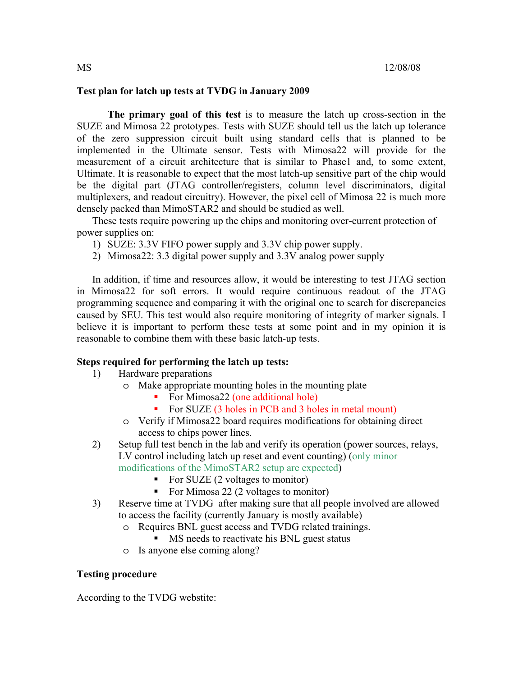# **Test plan for latch up tests at TVDG in January 2009**

**The primary goal of this test** is to measure the latch up cross-section in the SUZE and Mimosa 22 prototypes. Tests with SUZE should tell us the latch up tolerance of the zero suppression circuit built using standard cells that is planned to be implemented in the Ultimate sensor. Tests with Mimosa22 will provide for the measurement of a circuit architecture that is similar to Phase1 and, to some extent, Ultimate. It is reasonable to expect that the most latch-up sensitive part of the chip would be the digital part (JTAG controller/registers, column level discriminators, digital multiplexers, and readout circuitry). However, the pixel cell of Mimosa 22 is much more densely packed than MimoSTAR2 and should be studied as well.

These tests require powering up the chips and monitoring over-current protection of power supplies on:

- 1) SUZE: 3.3V FIFO power supply and 3.3V chip power supply.
- 2) Mimosa22: 3.3 digital power supply and 3.3V analog power supply

In addition, if time and resources allow, it would be interesting to test JTAG section in Mimosa22 for soft errors. It would require continuous readout of the JTAG programming sequence and comparing it with the original one to search for discrepancies caused by SEU. This test would also require monitoring of integrity of marker signals. I believe it is important to perform these tests at some point and in my opinion it is reasonable to combine them with these basic latch-up tests.

### **Steps required for performing the latch up tests:**

- 1) Hardware preparations
	- o Make appropriate mounting holes in the mounting plate
		- For Mimosa22 (one additional hole)
		- For SUZE (3 holes in PCB and 3 holes in metal mount)
	- o Verify if Mimosa22 board requires modifications for obtaining direct access to chips power lines.
- 2) Setup full test bench in the lab and verify its operation (power sources, relays, LV control including latch up reset and event counting) (only minor modifications of the MimoSTAR2 setup are expected)
	- For SUZE  $(2 \text{ voltages to monitor})$
	- For Mimosa 22 (2 voltages to monitor)
- 3) Reserve time at TVDG after making sure that all people involved are allowed to access the facility (currently January is mostly available)
	- o Requires BNL guest access and TVDG related trainings.
		- MS needs to reactivate his BNL guest status
	- o Is anyone else coming along?

### **Testing procedure**

According to the TVDG webstite: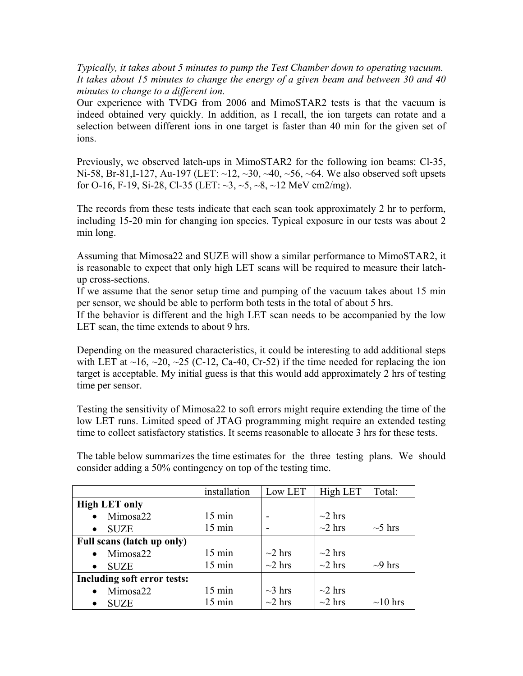*Typically, it takes about 5 minutes to pump the Test Chamber down to operating vacuum. It takes about 15 minutes to change the energy of a given beam and between 30 and 40 minutes to change to a different ion.* 

Our experience with TVDG from 2006 and MimoSTAR2 tests is that the vacuum is indeed obtained very quickly. In addition, as I recall, the ion targets can rotate and a selection between different ions in one target is faster than 40 min for the given set of ions.

Previously, we observed latch-ups in MimoSTAR2 for the following ion beams: Cl-35, Ni-58, Br-81, I-127, Au-197 (LET:  $\sim$ 12,  $\sim$ 30,  $\sim$ 40,  $\sim$ 56,  $\sim$ 64. We also observed soft upsets for O-16, F-19, Si-28, Cl-35 (LET:  $\sim$ 3,  $\sim$ 5,  $\sim$ 8,  $\sim$ 12 MeV cm2/mg).

The records from these tests indicate that each scan took approximately 2 hr to perform, including 15-20 min for changing ion species. Typical exposure in our tests was about 2 min long.

Assuming that Mimosa22 and SUZE will show a similar performance to MimoSTAR2, it is reasonable to expect that only high LET scans will be required to measure their latchup cross-sections.

If we assume that the senor setup time and pumping of the vacuum takes about 15 min per sensor, we should be able to perform both tests in the total of about 5 hrs.

If the behavior is different and the high LET scan needs to be accompanied by the low LET scan, the time extends to about 9 hrs.

Depending on the measured characteristics, it could be interesting to add additional steps with LET at  $\sim$ 16,  $\sim$ 20,  $\sim$ 25 (C-12, Ca-40, Cr-52) if the time needed for replacing the ion target is acceptable. My initial guess is that this would add approximately 2 hrs of testing time per sensor.

Testing the sensitivity of Mimosa22 to soft errors might require extending the time of the low LET runs. Limited speed of JTAG programming might require an extended testing time to collect satisfactory statistics. It seems reasonable to allocate 3 hrs for these tests.

The table below summarizes the time estimates for the three testing plans. We should consider adding a 50% contingency on top of the testing time.

|                             | installation     | Low LET      | High LET     | Total:        |
|-----------------------------|------------------|--------------|--------------|---------------|
| <b>High LET only</b>        |                  |              |              |               |
| Mimosa22                    | $15 \text{ min}$ |              | $\sim$ 2 hrs |               |
| <b>SUZE</b>                 | $15 \text{ min}$ |              | $\sim$ 2 hrs | $\sim$ 5 hrs  |
| Full scans (latch up only)  |                  |              |              |               |
| Mimosa22                    | $15 \text{ min}$ | $\sim$ 2 hrs | $\sim$ 2 hrs |               |
| <b>SUZE</b>                 | $15 \text{ min}$ | $\sim$ 2 hrs | $\sim$ 2 hrs | $\sim$ 9 hrs  |
| Including soft error tests: |                  |              |              |               |
| Mimosa22                    | $15 \text{ min}$ | $\sim$ 3 hrs | $\sim$ 2 hrs |               |
| <b>SUZE</b>                 | $15 \text{ min}$ | $\sim$ 2 hrs | $\sim$ 2 hrs | $\sim$ 10 hrs |